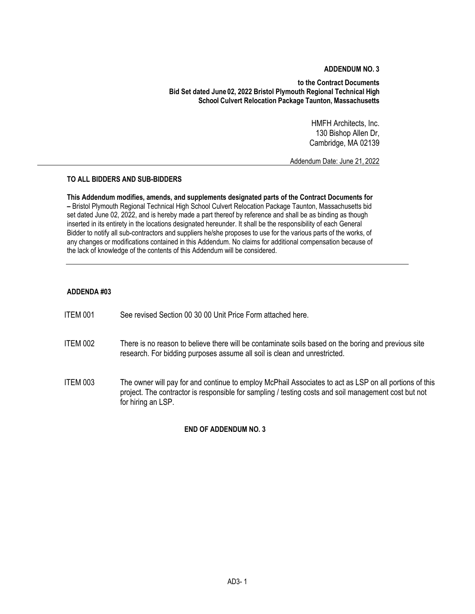## **ADDENDUM NO. 3**

**to the Contract Documents Bid Set dated June 02, 2022 Bristol Plymouth Regional Technical High School Culvert Relocation Package Taunton, Massachusetts**

> HMFH Architects, Inc. 130 Bishop Allen Dr, Cambridge, MA 02139

Addendum Date: June 21, 2022

## **TO ALL BIDDERS AND SUB-BIDDERS**

**This Addendum modifies, amends, and supplements designated parts of the Contract Documents for –** Bristol Plymouth Regional Technical High School Culvert Relocation Package Taunton, Massachusetts bid set dated June 02, 2022, and is hereby made a part thereof by reference and shall be as binding as though inserted in its entirety in the locations designated hereunder. It shall be the responsibility of each General Bidder to notify all sub-contractors and suppliers he/she proposes to use for the various parts of the works, of any changes or modifications contained in this Addendum. No claims for additional compensation because of the lack of knowledge of the contents of this Addendum will be considered.

### **ADDENDA #03**

- ITEM 001 See revised Section 00 30 00 Unit Price Form attached here.
- ITEM 002 There is no reason to believe there will be contaminate soils based on the boring and previous site research. For bidding purposes assume all soil is clean and unrestricted.
- ITEM 003 The owner will pay for and continue to employ McPhail Associates to act as LSP on all portions of this project. The contractor is responsible for sampling / testing costs and soil management cost but not for hiring an LSP.

#### **END OF ADDENDUM NO. 3**